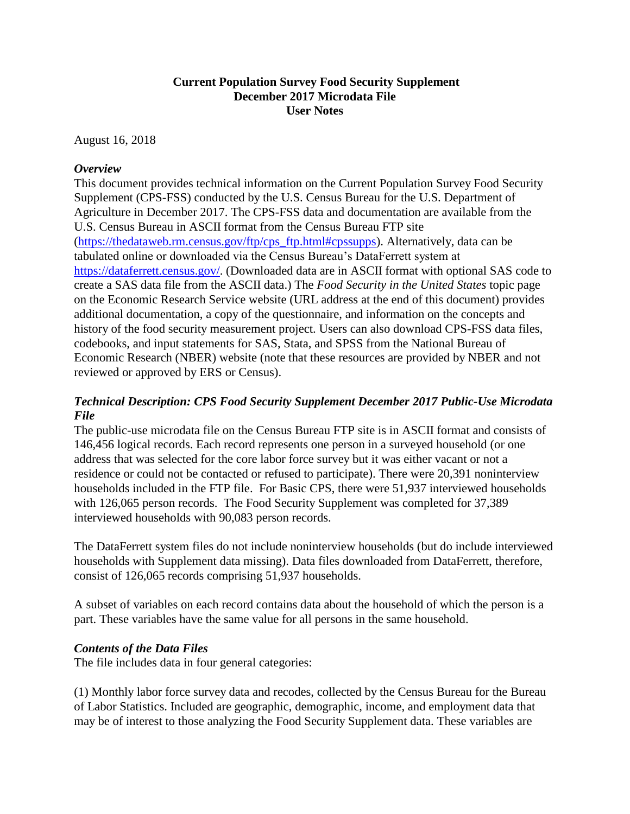## **Current Population Survey Food Security Supplement December 2017 Microdata File User Notes**

August 16, 2018

## *Overview*

This document provides technical information on the Current Population Survey Food Security Supplement (CPS-FSS) conducted by the U.S. Census Bureau for the U.S. Department of Agriculture in December 2017. The CPS-FSS data and documentation are available from the U.S. Census Bureau in ASCII format from the Census Bureau FTP site [\(https://thedataweb.rm.census.gov/ftp/cps\\_ftp.html#cpssupps\)](https://thedataweb.rm.census.gov/ftp/cps_ftp.html#cpssupps). Alternatively, data can be tabulated online or downloaded via the Census Bureau's DataFerrett system at [https://dataferrett.census.gov/.](https://dataferrett.census.gov/) (Downloaded data are in ASCII format with optional SAS code to create a SAS data file from the ASCII data.) The *Food Security in the United States* topic page on the Economic Research Service website (URL address at the end of this document) provides additional documentation, a copy of the questionnaire, and information on the concepts and history of the food security measurement project. Users can also download CPS-FSS data files, codebooks, and input statements for SAS, Stata, and SPSS from the National Bureau of Economic Research (NBER) website (note that these resources are provided by NBER and not reviewed or approved by ERS or Census).

# *Technical Description: CPS Food Security Supplement December 2017 Public-Use Microdata File*

The public-use microdata file on the Census Bureau FTP site is in ASCII format and consists of 146,456 logical records. Each record represents one person in a surveyed household (or one address that was selected for the core labor force survey but it was either vacant or not a residence or could not be contacted or refused to participate). There were 20,391 noninterview households included in the FTP file. For Basic CPS, there were 51,937 interviewed households with 126,065 person records. The Food Security Supplement was completed for 37,389 interviewed households with 90,083 person records.

The DataFerrett system files do not include noninterview households (but do include interviewed households with Supplement data missing). Data files downloaded from DataFerrett, therefore, consist of 126,065 records comprising 51,937 households.

A subset of variables on each record contains data about the household of which the person is a part. These variables have the same value for all persons in the same household.

## *Contents of the Data Files*

The file includes data in four general categories:

(1) Monthly labor force survey data and recodes, collected by the Census Bureau for the Bureau of Labor Statistics. Included are geographic, demographic, income, and employment data that may be of interest to those analyzing the Food Security Supplement data. These variables are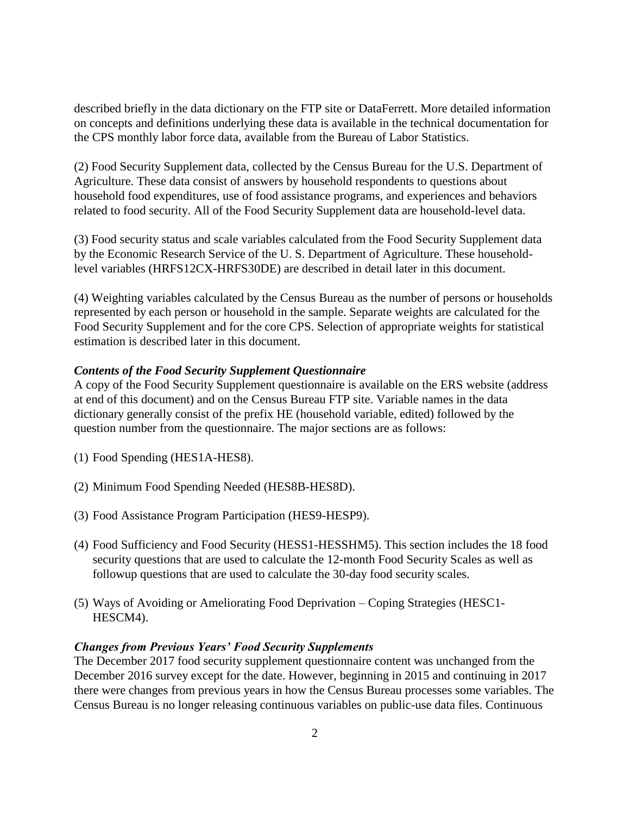described briefly in the data dictionary on the FTP site or DataFerrett. More detailed information on concepts and definitions underlying these data is available in the technical documentation for the CPS monthly labor force data, available from the Bureau of Labor Statistics.

(2) Food Security Supplement data, collected by the Census Bureau for the U.S. Department of Agriculture. These data consist of answers by household respondents to questions about household food expenditures, use of food assistance programs, and experiences and behaviors related to food security. All of the Food Security Supplement data are household-level data.

(3) Food security status and scale variables calculated from the Food Security Supplement data by the Economic Research Service of the U. S. Department of Agriculture. These householdlevel variables (HRFS12CX-HRFS30DE) are described in detail later in this document.

(4) Weighting variables calculated by the Census Bureau as the number of persons or households represented by each person or household in the sample. Separate weights are calculated for the Food Security Supplement and for the core CPS. Selection of appropriate weights for statistical estimation is described later in this document.

## *Contents of the Food Security Supplement Questionnaire*

A copy of the Food Security Supplement questionnaire is available on the ERS website (address at end of this document) and on the Census Bureau FTP site. Variable names in the data dictionary generally consist of the prefix HE (household variable, edited) followed by the question number from the questionnaire. The major sections are as follows:

- (1) Food Spending (HES1A-HES8).
- (2) Minimum Food Spending Needed (HES8B-HES8D).
- (3) Food Assistance Program Participation (HES9-HESP9).
- (4) Food Sufficiency and Food Security (HESS1-HESSHM5). This section includes the 18 food security questions that are used to calculate the 12-month Food Security Scales as well as followup questions that are used to calculate the 30-day food security scales.
- (5) Ways of Avoiding or Ameliorating Food Deprivation Coping Strategies (HESC1- HESCM4).

#### *Changes from Previous Years' Food Security Supplements*

The December 2017 food security supplement questionnaire content was unchanged from the December 2016 survey except for the date. However, beginning in 2015 and continuing in 2017 there were changes from previous years in how the Census Bureau processes some variables. The Census Bureau is no longer releasing continuous variables on public-use data files. Continuous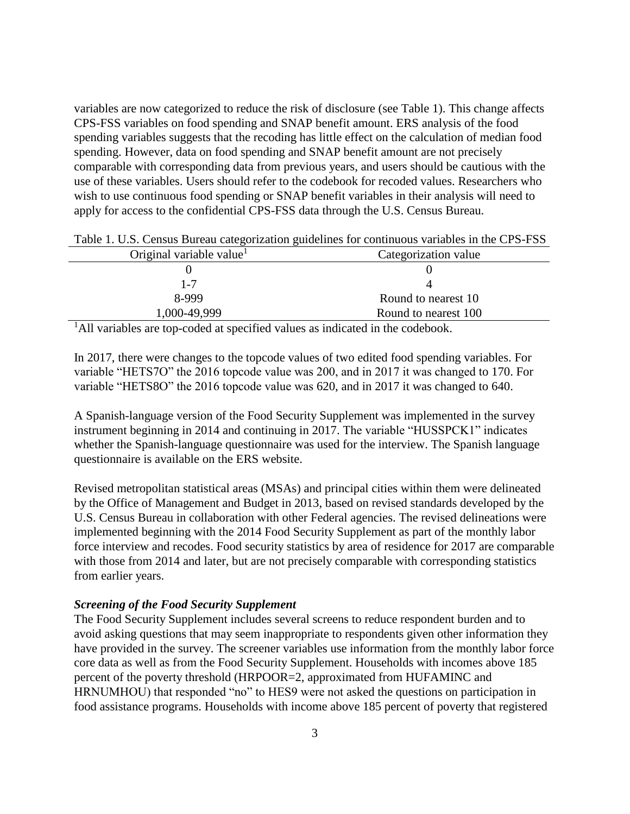variables are now categorized to reduce the risk of disclosure (see Table 1). This change affects CPS-FSS variables on food spending and SNAP benefit amount. ERS analysis of the food spending variables suggests that the recoding has little effect on the calculation of median food spending. However, data on food spending and SNAP benefit amount are not precisely comparable with corresponding data from previous years, and users should be cautious with the use of these variables. Users should refer to the codebook for recoded values. Researchers who wish to use continuous food spending or SNAP benefit variables in their analysis will need to apply for access to the confidential CPS-FSS data through the U.S. Census Bureau.

| Original variable value | Categorization value |
|-------------------------|----------------------|
|                         |                      |
| 1-7                     |                      |
| 8-999                   | Round to nearest 10  |
| 1,000-49,999            | Round to nearest 100 |
| .                       |                      |

Table 1. U.S. Census Bureau categorization guidelines for continuous variables in the CPS-FSS

<sup>1</sup>All variables are top-coded at specified values as indicated in the codebook.

In 2017, there were changes to the topcode values of two edited food spending variables. For variable "HETS7O" the 2016 topcode value was 200, and in 2017 it was changed to 170. For variable "HETS8O" the 2016 topcode value was 620, and in 2017 it was changed to 640.

A Spanish-language version of the Food Security Supplement was implemented in the survey instrument beginning in 2014 and continuing in 2017. The variable "HUSSPCK1" indicates whether the Spanish-language questionnaire was used for the interview. The Spanish language questionnaire is available on the ERS website.

Revised metropolitan statistical areas (MSAs) and principal cities within them were delineated by the Office of Management and Budget in 2013, based on revised standards developed by the U.S. Census Bureau in collaboration with other Federal agencies. The revised delineations were implemented beginning with the 2014 Food Security Supplement as part of the monthly labor force interview and recodes. Food security statistics by area of residence for 2017 are comparable with those from 2014 and later, but are not precisely comparable with corresponding statistics from earlier years.

## *Screening of the Food Security Supplement*

The Food Security Supplement includes several screens to reduce respondent burden and to avoid asking questions that may seem inappropriate to respondents given other information they have provided in the survey. The screener variables use information from the monthly labor force core data as well as from the Food Security Supplement. Households with incomes above 185 percent of the poverty threshold (HRPOOR=2, approximated from HUFAMINC and HRNUMHOU) that responded "no" to HES9 were not asked the questions on participation in food assistance programs. Households with income above 185 percent of poverty that registered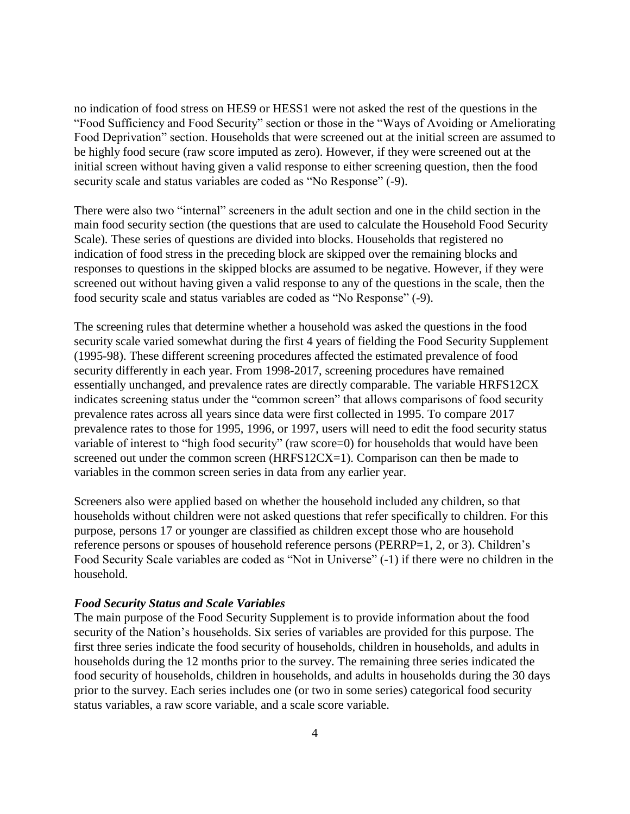no indication of food stress on HES9 or HESS1 were not asked the rest of the questions in the "Food Sufficiency and Food Security" section or those in the "Ways of Avoiding or Ameliorating Food Deprivation" section. Households that were screened out at the initial screen are assumed to be highly food secure (raw score imputed as zero). However, if they were screened out at the initial screen without having given a valid response to either screening question, then the food security scale and status variables are coded as "No Response" (-9).

There were also two "internal" screeners in the adult section and one in the child section in the main food security section (the questions that are used to calculate the Household Food Security Scale). These series of questions are divided into blocks. Households that registered no indication of food stress in the preceding block are skipped over the remaining blocks and responses to questions in the skipped blocks are assumed to be negative. However, if they were screened out without having given a valid response to any of the questions in the scale, then the food security scale and status variables are coded as "No Response" (-9).

The screening rules that determine whether a household was asked the questions in the food security scale varied somewhat during the first 4 years of fielding the Food Security Supplement (1995-98). These different screening procedures affected the estimated prevalence of food security differently in each year. From 1998-2017, screening procedures have remained essentially unchanged, and prevalence rates are directly comparable. The variable HRFS12CX indicates screening status under the "common screen" that allows comparisons of food security prevalence rates across all years since data were first collected in 1995. To compare 2017 prevalence rates to those for 1995, 1996, or 1997, users will need to edit the food security status variable of interest to "high food security" (raw score=0) for households that would have been screened out under the common screen (HRFS12CX=1). Comparison can then be made to variables in the common screen series in data from any earlier year.

Screeners also were applied based on whether the household included any children, so that households without children were not asked questions that refer specifically to children. For this purpose, persons 17 or younger are classified as children except those who are household reference persons or spouses of household reference persons (PERRP=1, 2, or 3). Children's Food Security Scale variables are coded as "Not in Universe" (-1) if there were no children in the household.

#### *Food Security Status and Scale Variables*

The main purpose of the Food Security Supplement is to provide information about the food security of the Nation's households. Six series of variables are provided for this purpose. The first three series indicate the food security of households, children in households, and adults in households during the 12 months prior to the survey. The remaining three series indicated the food security of households, children in households, and adults in households during the 30 days prior to the survey. Each series includes one (or two in some series) categorical food security status variables, a raw score variable, and a scale score variable.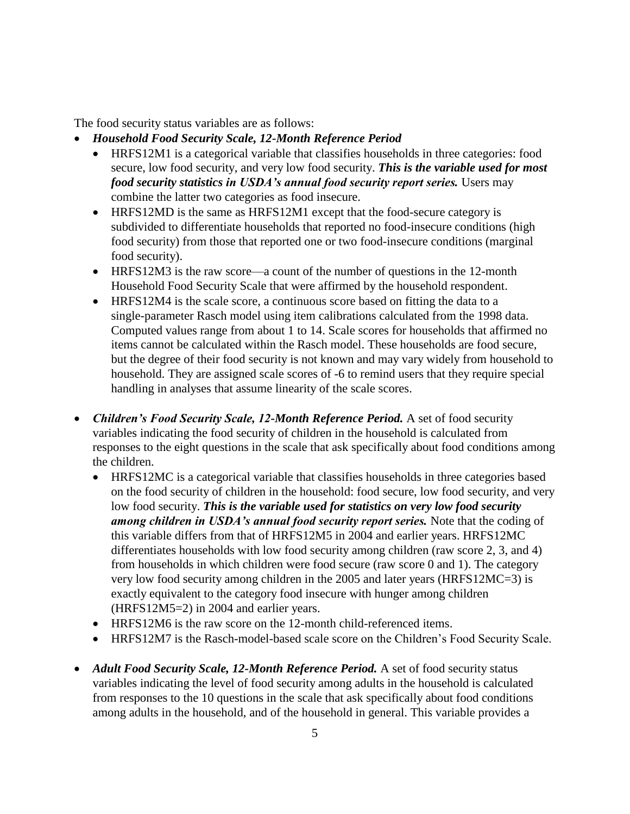The food security status variables are as follows:

- *Household Food Security Scale, 12-Month Reference Period*
	- HRFS12M1 is a categorical variable that classifies households in three categories: food secure, low food security, and very low food security. *This is the variable used for most food security statistics in USDA's annual food security report series.* Users may combine the latter two categories as food insecure.
	- HRFS12MD is the same as HRFS12M1 except that the food-secure category is subdivided to differentiate households that reported no food-insecure conditions (high food security) from those that reported one or two food-insecure conditions (marginal food security).
	- HRFS12M3 is the raw score—a count of the number of questions in the 12-month Household Food Security Scale that were affirmed by the household respondent.
	- HRFS12M4 is the scale score, a continuous score based on fitting the data to a single-parameter Rasch model using item calibrations calculated from the 1998 data. Computed values range from about 1 to 14. Scale scores for households that affirmed no items cannot be calculated within the Rasch model. These households are food secure, but the degree of their food security is not known and may vary widely from household to household. They are assigned scale scores of -6 to remind users that they require special handling in analyses that assume linearity of the scale scores.
- *Children's Food Security Scale, 12-Month Reference Period.* A set of food security variables indicating the food security of children in the household is calculated from responses to the eight questions in the scale that ask specifically about food conditions among the children.
	- HRFS12MC is a categorical variable that classifies households in three categories based on the food security of children in the household: food secure, low food security, and very low food security. *This is the variable used for statistics on very low food security among children in USDA's annual food security report series.* Note that the coding of this variable differs from that of HRFS12M5 in 2004 and earlier years. HRFS12MC differentiates households with low food security among children (raw score 2, 3, and 4) from households in which children were food secure (raw score 0 and 1). The category very low food security among children in the 2005 and later years (HRFS12MC=3) is exactly equivalent to the category food insecure with hunger among children (HRFS12M5=2) in 2004 and earlier years.
	- HRFS12M6 is the raw score on the 12-month child-referenced items.
	- HRFS12M7 is the Rasch-model-based scale score on the Children's Food Security Scale.
- *Adult Food Security Scale, 12-Month Reference Period.* A set of food security status variables indicating the level of food security among adults in the household is calculated from responses to the 10 questions in the scale that ask specifically about food conditions among adults in the household, and of the household in general. This variable provides a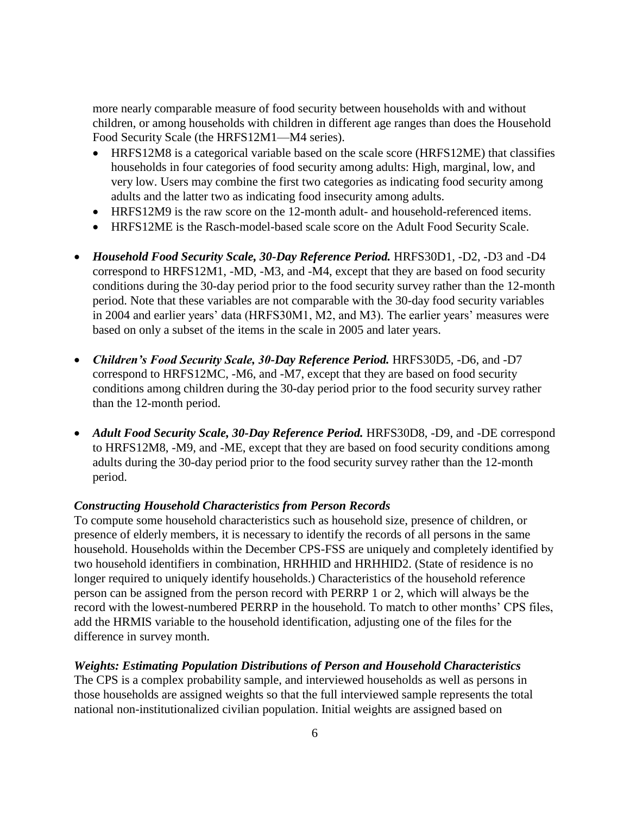more nearly comparable measure of food security between households with and without children, or among households with children in different age ranges than does the Household Food Security Scale (the HRFS12M1—M4 series).

- HRFS12M8 is a categorical variable based on the scale score (HRFS12ME) that classifies households in four categories of food security among adults: High, marginal, low, and very low. Users may combine the first two categories as indicating food security among adults and the latter two as indicating food insecurity among adults.
- HRFS12M9 is the raw score on the 12-month adult- and household-referenced items.
- HRFS12ME is the Rasch-model-based scale score on the Adult Food Security Scale.
- *Household Food Security Scale, 30-Day Reference Period.* HRFS30D1, -D2, -D3 and -D4 correspond to HRFS12M1, -MD, -M3, and -M4, except that they are based on food security conditions during the 30-day period prior to the food security survey rather than the 12-month period. Note that these variables are not comparable with the 30-day food security variables in 2004 and earlier years' data (HRFS30M1, M2, and M3). The earlier years' measures were based on only a subset of the items in the scale in 2005 and later years.
- *Children's Food Security Scale, 30-Day Reference Period.* HRFS30D5, -D6, and -D7 correspond to HRFS12MC, -M6, and -M7, except that they are based on food security conditions among children during the 30-day period prior to the food security survey rather than the 12-month period.
- *Adult Food Security Scale, 30-Day Reference Period.* HRFS30D8, -D9, and -DE correspond to HRFS12M8, -M9, and -ME, except that they are based on food security conditions among adults during the 30-day period prior to the food security survey rather than the 12-month period.

#### *Constructing Household Characteristics from Person Records*

To compute some household characteristics such as household size, presence of children, or presence of elderly members, it is necessary to identify the records of all persons in the same household. Households within the December CPS-FSS are uniquely and completely identified by two household identifiers in combination, HRHHID and HRHHID2. (State of residence is no longer required to uniquely identify households.) Characteristics of the household reference person can be assigned from the person record with PERRP 1 or 2, which will always be the record with the lowest-numbered PERRP in the household. To match to other months' CPS files, add the HRMIS variable to the household identification, adjusting one of the files for the difference in survey month.

#### *Weights: Estimating Population Distributions of Person and Household Characteristics*

The CPS is a complex probability sample, and interviewed households as well as persons in those households are assigned weights so that the full interviewed sample represents the total national non-institutionalized civilian population. Initial weights are assigned based on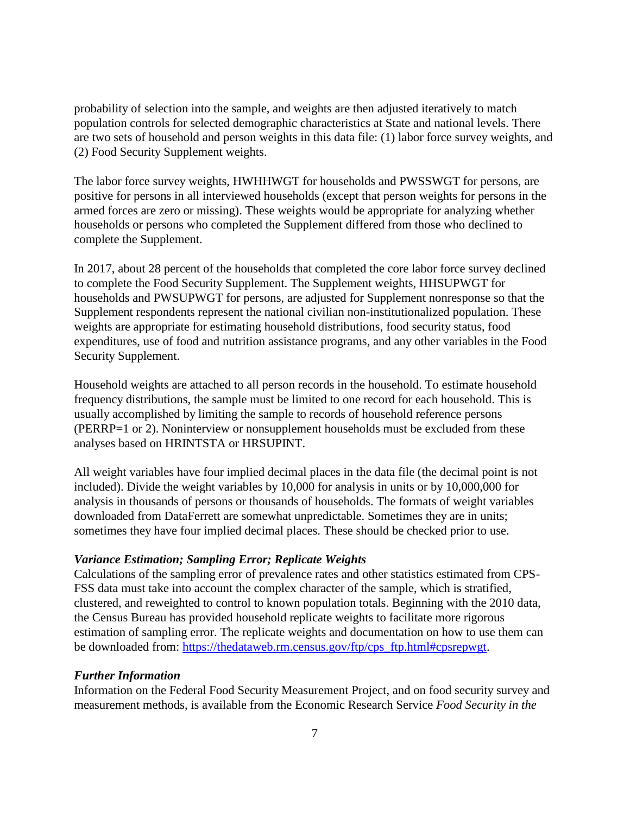probability of selection into the sample, and weights are then adjusted iteratively to match population controls for selected demographic characteristics at State and national levels. There are two sets of household and person weights in this data file: (1) labor force survey weights, and (2) Food Security Supplement weights.

The labor force survey weights, HWHHWGT for households and PWSSWGT for persons, are positive for persons in all interviewed households (except that person weights for persons in the armed forces are zero or missing). These weights would be appropriate for analyzing whether households or persons who completed the Supplement differed from those who declined to complete the Supplement.

In 2017, about 28 percent of the households that completed the core labor force survey declined to complete the Food Security Supplement. The Supplement weights, HHSUPWGT for households and PWSUPWGT for persons, are adjusted for Supplement nonresponse so that the Supplement respondents represent the national civilian non-institutionalized population. These weights are appropriate for estimating household distributions, food security status, food expenditures, use of food and nutrition assistance programs, and any other variables in the Food Security Supplement.

Household weights are attached to all person records in the household. To estimate household frequency distributions, the sample must be limited to one record for each household. This is usually accomplished by limiting the sample to records of household reference persons (PERRP=1 or 2). Noninterview or nonsupplement households must be excluded from these analyses based on HRINTSTA or HRSUPINT.

All weight variables have four implied decimal places in the data file (the decimal point is not included). Divide the weight variables by 10,000 for analysis in units or by 10,000,000 for analysis in thousands of persons or thousands of households. The formats of weight variables downloaded from DataFerrett are somewhat unpredictable. Sometimes they are in units; sometimes they have four implied decimal places. These should be checked prior to use.

## *Variance Estimation; Sampling Error; Replicate Weights*

Calculations of the sampling error of prevalence rates and other statistics estimated from CPS-FSS data must take into account the complex character of the sample, which is stratified, clustered, and reweighted to control to known population totals. Beginning with the 2010 data, the Census Bureau has provided household replicate weights to facilitate more rigorous estimation of sampling error. The replicate weights and documentation on how to use them can be downloaded from: [https://thedataweb.rm.census.gov/ftp/cps\\_ftp.html#cpsrepwgt.](https://thedataweb.rm.census.gov/ftp/cps_ftp.html#cpsrepwgt)

#### *Further Information*

Information on the Federal Food Security Measurement Project, and on food security survey and measurement methods, is available from the Economic Research Service *Food Security in the*